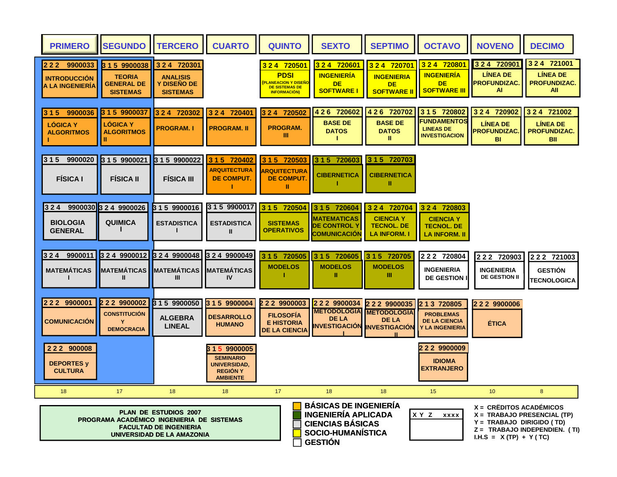| <b>PRIMERO</b>                                                       | <b>SEGUNDO</b>                                                         | <b>TERCERO</b>                                                                                    | <b>CUARTO</b>                                                                                  | <b>QUINTO</b>                                                                                                        | <b>SEXTO</b>                                                                                                                       | <b>SEPTIMO</b>                                                                                              | <b>OCTAVO</b>                                                                  | <b>NOVENO</b>                                                                                        | <b>DECIMO</b>                                                           |
|----------------------------------------------------------------------|------------------------------------------------------------------------|---------------------------------------------------------------------------------------------------|------------------------------------------------------------------------------------------------|----------------------------------------------------------------------------------------------------------------------|------------------------------------------------------------------------------------------------------------------------------------|-------------------------------------------------------------------------------------------------------------|--------------------------------------------------------------------------------|------------------------------------------------------------------------------------------------------|-------------------------------------------------------------------------|
| 2 2 2 9 9 0 0 0 3 3<br><b>INTRODUCCION</b><br><b>A LA INGENIERIA</b> | 3 1 5 9900038<br><b>TEORIA</b><br><b>GENERAL DE</b><br><b>SISTEMAS</b> | 3 2 4 7 20 30 1<br><b>ANALISIS</b><br><b>Y DISENO DE</b><br><b>SISTEMAS</b>                       |                                                                                                | 3 2 4 7 20 5 0 1<br><b>PDSI</b><br><mark>(PLANEACION Y DISEÑO</mark><br><b>DE SISTEMAS DE</b><br><b>INFORMACIÓN)</b> | 324 720601<br><b>INGENIERÍA</b><br><b>DE</b><br><b>SOFTWARE I</b>                                                                  | 324 720701<br><b>INGENIERIA</b><br><b>DE</b><br><b>SOFTWARE II</b>                                          | 324 720801<br><b>INGENIERÍA</b><br>DE.<br><b>SOFTWARE III</b>                  | 3 2 4 7 20901<br><b>LINEA DE</b><br><b>PROFUNDIZAC.</b><br>AL                                        | 3 2 4 7 21001<br><b>LINEA DE</b><br><b>PROFUNDIZAC.</b><br>All          |
| 3 1 5 9900036<br><b>LOGICA Y</b><br><b>ALGORITMOS</b>                | <b>LÓGICA Y</b><br><b>ALGORITMOS</b>                                   | 3 2 4 720302<br><b>PROGRAM.I</b>                                                                  | 3 2 4 7 20401<br><b>PROGRAM. II</b>                                                            | 3 2 4 7 20 5 0 2<br>PROGRAM.<br>Ш                                                                                    | 4 2 6 720602<br><b>BASE DE</b><br><b>DATOS</b><br>т.                                                                               | 4 2 6 720702<br><b>BASE DE</b><br><b>DATOS</b><br>Ш                                                         | 3 1 5 720802<br><b>FUNDAMENTOS</b><br><b>LINEAS DE</b><br><b>INVESTIGACION</b> | 3 2 4 7 209 02<br><b>LINEA DE</b><br><b>PROFUNDIZAC</b><br><b>BI</b>                                 | 3 2 4 7 210 0 2<br><b>LINEA DE</b><br><b>PROFUNDIZAC.</b><br><b>BII</b> |
| 3 1 5 9900020<br><b>FÍSICA I</b>                                     | 3 1 5 9900021<br><b>FISICA II</b>                                      | 3 1 5 9900022<br><b>FISICA III</b>                                                                | 3 1 5 720402<br><b>ARQUITECTURA</b><br>DE COMPUT.                                              | 3 1 5 7 20 5 0 3<br><b>ARQUITECTURA</b><br><b>DE COMPUT</b><br>Ш                                                     | 3 1 5 720603<br><b>CIBERNETICA</b>                                                                                                 | 3 1 5 720703<br><b>CIBERNETICA</b><br>Ш                                                                     |                                                                                |                                                                                                      |                                                                         |
| $324$ 9900030 3 2 4 9900026<br><b>BIOLOGIA</b><br><b>GENERAL</b>     | <b>QUIMICA</b>                                                         | 3 1 5 9900016<br><b>ESTADISTICA</b>                                                               | 3 1 5 9900017<br><b>ESTADISTICA</b><br>Ш                                                       | 3 1 5 7 20 5 0 4<br><b>SISTEMAS</b><br><b>OPERATIVOS</b>                                                             | 3 1 5 720604<br><b>MATEMATICAS</b><br><b>DE CONTROL Y</b><br><b>COMUNICACION</b>                                                   | 3 2 4 7 20 7 0 4<br><b>CIENCIA Y</b><br><b>TECNOL. DE</b><br><b>LA INFORM. I</b>                            | 3 2 4 7 20 80 3<br><b>CIENCIA Y</b><br><b>TECNOL. DE</b><br>LA INFORM. II      |                                                                                                      |                                                                         |
| 3 2 4 9900011<br><b>MATEMÁTICAS</b>                                  | 3 2 4 9900012<br><b>MATEMÁTICAS</b><br>Ш                               | 3 2 4 9900048<br><b>MATEMÁTICAS</b><br>III                                                        | 3 2 4 9900049<br><b>MATEMÁTICAS</b><br><b>IV</b>                                               | 3 1 5 7 20 5 0 5<br><b>MODELOS</b>                                                                                   | 3 1 5 7 20 60 5<br><b>MODELOS</b><br>Ш                                                                                             | 3 1 5 7 20 7 0 5<br><b>MODELOS</b><br>Ш                                                                     | 2 2 2 7 20 8 0 4<br><b>INGENIERIA</b><br><b>DE GESTION I</b>                   | 2 2 2 7 20 9 0 3<br><b>INGENIERIA</b><br><b>DE GESTION II</b>                                        | 2 2 2 7 21003<br><b>GESTIÓN</b><br>TECNOLOGICA                          |
| 2 2 2 9 9 0 0 0 1<br><b>COMUNICACIÓN</b>                             | 2 2 2 9900002<br><b>CONSTITUCIÓN</b><br>Y<br><b>DEMOCRACIA</b>         | 3 1 5 9900050<br><b>ALGEBRA</b><br><b>LINEAL</b>                                                  | 3 1 5 9900004<br><b>DESARROLLO</b><br><b>HUMANO</b>                                            | 2 2 2 9900003<br><b>FILOSOFIA</b><br><b>E HISTORIA</b><br><b>DE LA CIENCIA</b>                                       | 2 2 2 9 9 0 0 0 3 4<br><b>DE LA</b>                                                                                                | 2 2 2 9 9 0 0 0 3 5<br><b>METODOLOGIA METODOLOGIA</b><br><b>DE LA</b><br><b>INVESTIGACIÓN INVESTIGACIÓN</b> | 2 1 3 7 20 80 5<br><b>PROBLEMAS</b><br><b>DE LA CIENCIA</b><br>Y LA INGENIERIA | 2 2 2 9 9 0 0 0 0 6<br><b>ÉTICA</b>                                                                  |                                                                         |
| 222 900008<br><b>DEPORTES y</b><br><b>CULTURA</b>                    |                                                                        |                                                                                                   | 8 1 5 9900005<br><b>SEMINARIO</b><br><b>UNIVERSIDAD.</b><br><b>REGION Y</b><br><b>AMBIENTE</b> |                                                                                                                      |                                                                                                                                    |                                                                                                             | 2 2 2 9 9 0 0 0 0 9<br><b>IDIOMA</b><br><b>EXTRANJERO</b>                      |                                                                                                      |                                                                         |
| 18                                                                   | 17<br>PROGRAMA ACADÉMICO INGENIERIA DE SISTEMAS                        | 18<br><b>PLAN DE ESTUDIOS 2007</b><br><b>FACULTAD DE INGENIERIA</b><br>UNIVERSIDAD DE LA AMAZONIA | 18                                                                                             | 17                                                                                                                   | 18<br><b>BÁSICAS DE INGENIERÍA</b><br><b>INGENIERÍA APLICADA</b><br><b>CIENCIAS BÁSICAS</b><br>SOCIO-HUMANÍSTICA<br><b>GESTIÓN</b> | 18                                                                                                          | 15<br>XY Z<br><b>XXXX</b>                                                      | 10 <sup>°</sup><br>$X = CRËDITOS ACADÉMICOS$<br>Y = TRABAJO DIRIGIDO (TD)<br>I.H.S = $X(TP) + Y(TC)$ | 8<br>X = TRABAJO PRESENCIAL (TP)<br>Z = TRABAJO INDEPENDIEN. (TI)       |